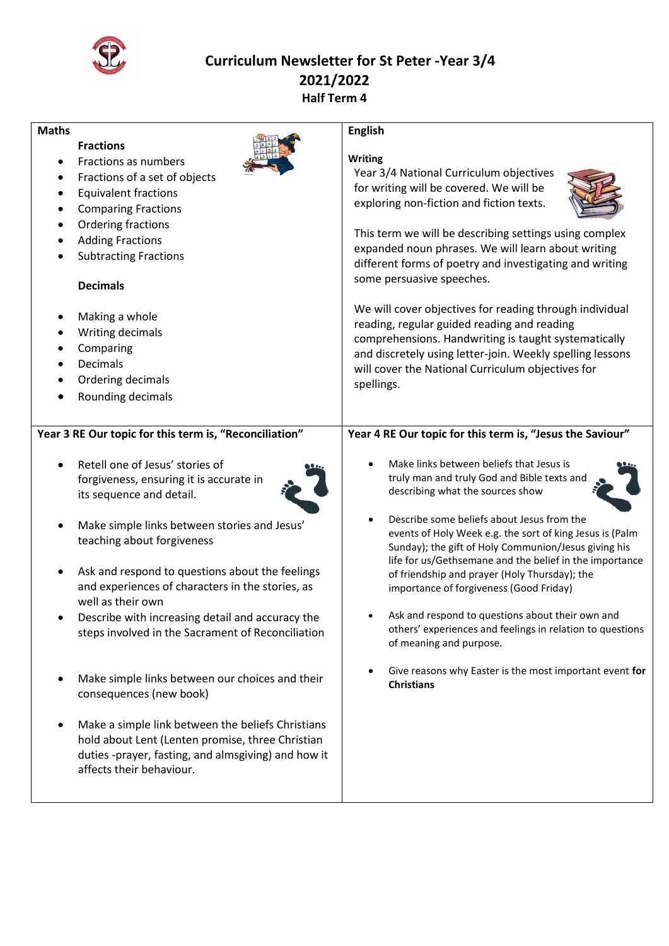

## **Curriculum Newsletter for St Peter -Year 3/4 2021/2022 Half Term 4**

| <b>Maths</b>                                                                                                                                                                                                                                                                                                                                                                                                                                                                                                                                                                                                                                                                                        | <b>English</b>                                                                                                                                                                                                                                                                                                                                                                                                                                                                                                                                                                                                                                                                   |
|-----------------------------------------------------------------------------------------------------------------------------------------------------------------------------------------------------------------------------------------------------------------------------------------------------------------------------------------------------------------------------------------------------------------------------------------------------------------------------------------------------------------------------------------------------------------------------------------------------------------------------------------------------------------------------------------------------|----------------------------------------------------------------------------------------------------------------------------------------------------------------------------------------------------------------------------------------------------------------------------------------------------------------------------------------------------------------------------------------------------------------------------------------------------------------------------------------------------------------------------------------------------------------------------------------------------------------------------------------------------------------------------------|
| <b>Fractions</b><br>Fractions as numbers<br>Fractions of a set of objects<br><b>Equivalent fractions</b><br>$\bullet$<br><b>Comparing Fractions</b><br>Ordering fractions<br><b>Adding Fractions</b><br><b>Subtracting Fractions</b><br><b>Decimals</b><br>Making a whole<br>٠<br>Writing decimals<br>Comparing<br>Decimals<br>Ordering decimals<br>Rounding decimals                                                                                                                                                                                                                                                                                                                               | <b>Writing</b><br>Year 3/4 National Curriculum objectives<br>for writing will be covered. We will be<br>exploring non-fiction and fiction texts.<br>This term we will be describing settings using complex<br>expanded noun phrases. We will learn about writing<br>different forms of poetry and investigating and writing<br>some persuasive speeches.<br>We will cover objectives for reading through individual<br>reading, regular guided reading and reading<br>comprehensions. Handwriting is taught systematically<br>and discretely using letter-join. Weekly spelling lessons<br>will cover the National Curriculum objectives for<br>spellings.                       |
| Year 3 RE Our topic for this term is, "Reconciliation"                                                                                                                                                                                                                                                                                                                                                                                                                                                                                                                                                                                                                                              | Year 4 RE Our topic for this term is, "Jesus the Saviour"                                                                                                                                                                                                                                                                                                                                                                                                                                                                                                                                                                                                                        |
| Retell one of Jesus' stories of<br>forgiveness, ensuring it is accurate in<br>its sequence and detail.<br>Make simple links between stories and Jesus'<br>teaching about forgiveness<br>Ask and respond to questions about the feelings<br>and experiences of characters in the stories, as<br>well as their own<br>Describe with increasing detail and accuracy the<br>steps involved in the Sacrament of Reconciliation<br>Make simple links between our choices and their<br>consequences (new book)<br>Make a simple link between the beliefs Christians<br>hold about Lent (Lenten promise, three Christian<br>duties -prayer, fasting, and almsgiving) and how it<br>affects their behaviour. | Make links between beliefs that Jesus is<br>truly man and truly God and Bible texts and<br>describing what the sources show<br>Describe some beliefs about Jesus from the<br>events of Holy Week e.g. the sort of king Jesus is (Palm<br>Sunday); the gift of Holy Communion/Jesus giving his<br>life for us/Gethsemane and the belief in the importance<br>of friendship and prayer (Holy Thursday); the<br>importance of forgiveness (Good Friday)<br>Ask and respond to questions about their own and<br>others' experiences and feelings in relation to questions<br>of meaning and purpose.<br>Give reasons why Easter is the most important event for<br><b>Christians</b> |